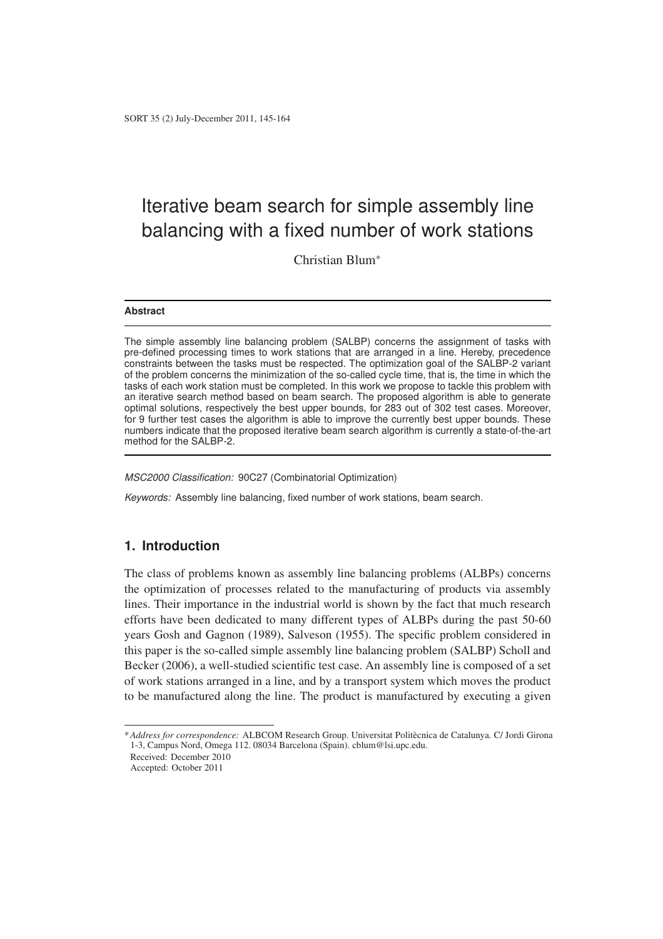Christian Blum<sup>∗</sup>

#### **Abstract**

The simple assembly line balancing problem (SALBP) concerns the assignment of tasks with pre-defined processing times to work stations that are arranged in a line. Hereby, precedence constraints between the tasks must be respected. The optimization goal of the SALBP-2 variant of the problem concerns the minimization of the so-called cycle time, that is, the time in which the tasks of each work station must be completed. In this work we propose to tackle this problem with an iterative search method based on beam search. The proposed algorithm is able to generate optimal solutions, respectively the best upper bounds, for 283 out of 302 test cases. Moreover, for 9 further test cases the algorithm is able to improve the currently best upper bounds. These numbers indicate that the proposed iterative beam search algorithm is currently a state-of-the-art method for the SALBP-2.

MSC2000 Classification: 90C27 (Combinatorial Optimization)

Keywords: Assembly line balancing, fixed number of work stations, beam search.

## **1. Introduction**

The class of problems known as assembly line balancing problems (ALBPs) concerns the optimization of processes related to the manufacturing of products via assembly lines. Their importance in the industrial world is shown by the fact that much research efforts have been dedicated to many different types of ALBPs during the past 50-60 years Gosh and Gagnon (1989), Salveson (1955). The specific problem considered in this paper is the so-called simple assembly line balancing problem (SALBP) Scholl and Becker (2006), a well-studied scientific test case. An assembly line is composed of a set of work stations arranged in a line, and by a transport system which moves the product to be manufactured along the line. The product is manufactured by executing a given

\**Address for correspondence:* ALBCOM Research Group. Universitat Politecnica de Catalunya. C/ Jordi Girona ` 1-3, Campus Nord, Omega 112. 08034 Barcelona (Spain). cblum@lsi.upc.edu.

Received: December 2010

Accepted: October 2011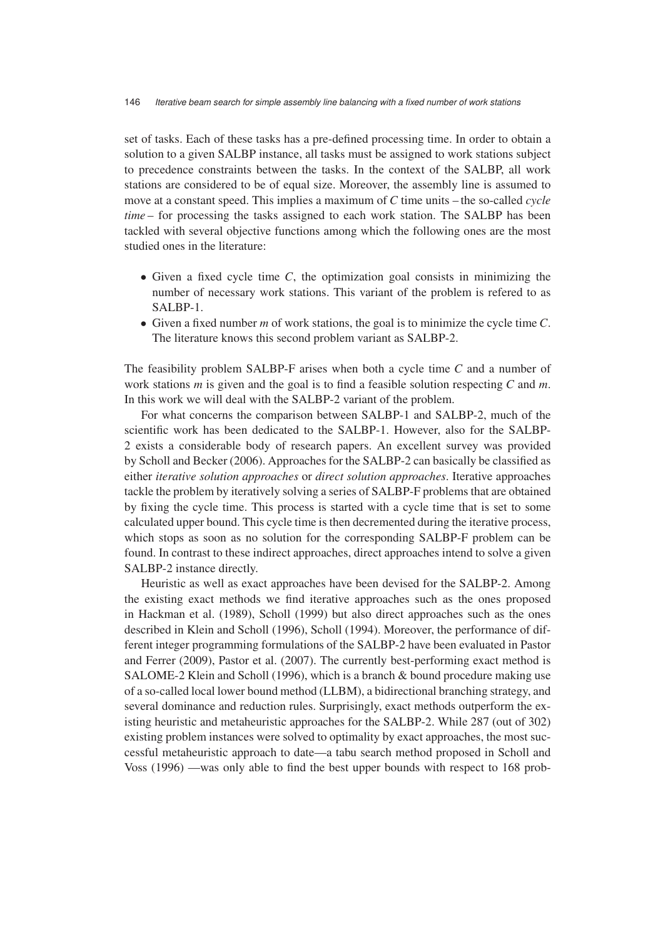set of tasks. Each of these tasks has a pre-defined processing time. In order to obtain a solution to a given SALBP instance, all tasks must be assigned to work stations subject to precedence constraints between the tasks. In the context of the SALBP, all work stations are considered to be of equal size. Moreover, the assembly line is assumed to move at a constant speed. This implies a maximum of *C* time units – the so-called *cycle time* – for processing the tasks assigned to each work station. The SALBP has been tackled with several objective functions among which the following ones are the most studied ones in the literature:

- Given a fixed cycle time *C*, the optimization goal consists in minimizing the number of necessary work stations. This variant of the problem is refered to as SALBP-1.
- Given a fixed number *m* of work stations, the goal is to minimize the cycle time *C*. The literature knows this second problem variant as SALBP-2.

The feasibility problem SALBP-F arises when both a cycle time *C* and a number of work stations *m* is given and the goal is to find a feasible solution respecting *C* and *m*. In this work we will deal with the SALBP-2 variant of the problem.

For what concerns the comparison between SALBP-1 and SALBP-2, much of the scientific work has been dedicated to the SALBP-1. However, also for the SALBP-2 exists a considerable body of research papers. An excellent survey was provided by Scholl and Becker (2006). Approaches for the SALBP-2 can basically be classified as either *iterative solution approaches* or *direct solution approaches*. Iterative approaches tackle the problem by iteratively solving a series of SALBP-F problems that are obtained by fixing the cycle time. This process is started with a cycle time that is set to some calculated upper bound. This cycle time is then decremented during the iterative process, which stops as soon as no solution for the corresponding SALBP-F problem can be found. In contrast to these indirect approaches, direct approaches intend to solve a given SALBP-2 instance directly.

Heuristic as well as exact approaches have been devised for the SALBP-2. Among the existing exact methods we find iterative approaches such as the ones proposed in Hackman et al. (1989), Scholl (1999) but also direct approaches such as the ones described in Klein and Scholl (1996), Scholl (1994). Moreover, the performance of different integer programming formulations of the SALBP-2 have been evaluated in Pastor and Ferrer (2009), Pastor et al. (2007). The currently best-performing exact method is SALOME-2 Klein and Scholl (1996), which is a branch & bound procedure making use of a so-called local lower bound method (LLBM), a bidirectional branching strategy, and several dominance and reduction rules. Surprisingly, exact methods outperform the existing heuristic and metaheuristic approaches for the SALBP-2. While 287 (out of 302) existing problem instances were solved to optimality by exact approaches, the most successful metaheuristic approach to date—a tabu search method proposed in Scholl and Voss (1996) —was only able to find the best upper bounds with respect to 168 prob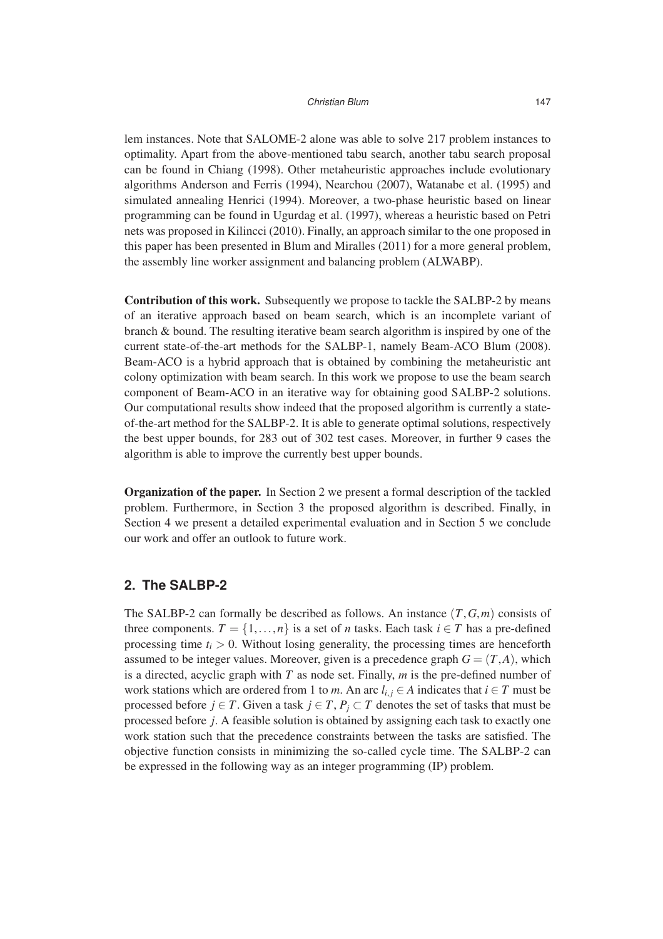lem instances. Note that SALOME-2 alone was able to solve 217 problem instances to optimality. Apart from the above-mentioned tabu search, another tabu search proposal can be found in Chiang (1998). Other metaheuristic approaches include evolutionary algorithms Anderson and Ferris (1994), Nearchou (2007), Watanabe et al. (1995) and simulated annealing Henrici (1994). Moreover, a two-phase heuristic based on linear programming can be found in Ugurdag et al. (1997), whereas a heuristic based on Petri nets was proposed in Kilincci (2010). Finally, an approach similar to the one proposed in this paper has been presented in Blum and Miralles (2011) for a more general problem, the assembly line worker assignment and balancing problem (ALWABP).

**Contribution of this work.** Subsequently we propose to tackle the SALBP-2 by means of an iterative approach based on beam search, which is an incomplete variant of branch & bound. The resulting iterative beam search algorithm is inspired by one of the current state-of-the-art methods for the SALBP-1, namely Beam-ACO Blum (2008). Beam-ACO is a hybrid approach that is obtained by combining the metaheuristic ant colony optimization with beam search. In this work we propose to use the beam search component of Beam-ACO in an iterative way for obtaining good SALBP-2 solutions. Our computational results show indeed that the proposed algorithm is currently a stateof-the-art method for the SALBP-2. It is able to generate optimal solutions, respectively the best upper bounds, for 283 out of 302 test cases. Moreover, in further 9 cases the algorithm is able to improve the currently best upper bounds.

**Organization of the paper.** In Section 2 we present a formal description of the tackled problem. Furthermore, in Section 3 the proposed algorithm is described. Finally, in Section 4 we present a detailed experimental evaluation and in Section 5 we conclude our work and offer an outlook to future work.

## **2. The SALBP-2**

The SALBP-2 can formally be described as follows. An instance (*T*,*G*,*m*) consists of three components.  $T = \{1, ..., n\}$  is a set of *n* tasks. Each task  $i \in T$  has a pre-defined processing time  $t_i > 0$ . Without losing generality, the processing times are henceforth assumed to be integer values. Moreover, given is a precedence graph  $G = (T, A)$ , which is a directed, acyclic graph with *T* as node set. Finally, *m* is the pre-defined number of work stations which are ordered from 1 to *m*. An arc  $l_{i,i} \in A$  indicates that  $i \in T$  must be processed before *j* ∈ *T*. Given a task *j* ∈ *T*,  $P_j$  ⊂ *T* denotes the set of tasks that must be processed before *j*. A feasible solution is obtained by assigning each task to exactly one work station such that the precedence constraints between the tasks are satisfied. The objective function consists in minimizing the so-called cycle time. The SALBP-2 can be expressed in the following way as an integer programming (IP) problem.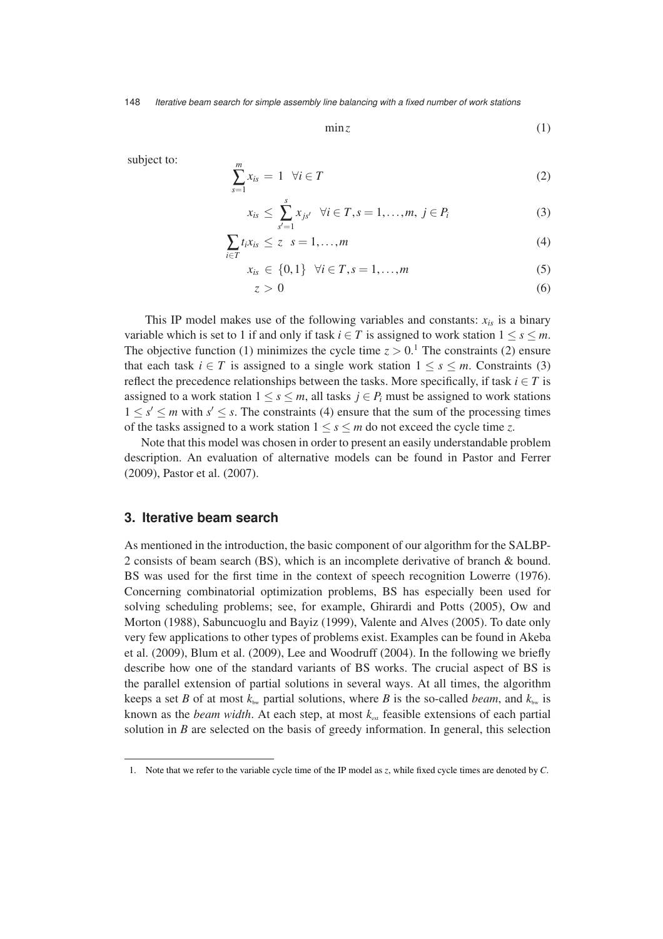min*z* (1)

subject to:  $\frac{m}{m}$ 

$$
\sum_{s=1}^{m} x_{is} = 1 \quad \forall i \in T \tag{2}
$$

$$
x_{is} \leq \sum_{s'=1}^{s} x_{js'} \quad \forall i \in T, s = 1, \dots, m, \ j \in P_i \tag{3}
$$

$$
\sum_{i \in T} t_i x_{is} \le z \quad s = 1, \dots, m \tag{4}
$$

$$
x_{is} \in \{0, 1\} \quad \forall i \in T, s = 1, ..., m \tag{5}
$$

$$
z > 0 \tag{6}
$$

This IP model makes use of the following variables and constants:  $x_{is}$  is a binary variable which is set to 1 if and only if task  $i \in T$  is assigned to work station  $1 \leq s \leq m$ . The objective function (1) minimizes the cycle time  $z > 0$ .<sup>1</sup> The constraints (2) ensure that each task  $i \in T$  is assigned to a single work station  $1 \leq s \leq m$ . Constraints (3) reflect the precedence relationships between the tasks. More specifically, if task  $i \in T$  is assigned to a work station  $1 \leq s \leq m$ , all tasks  $j \in P_i$  must be assigned to work stations  $1 \leq s' \leq m$  with  $s' \leq s$ . The constraints (4) ensure that the sum of the processing times of the tasks assigned to a work station  $1 \leq s \leq m$  do not exceed the cycle time *z*.

Note that this model was chosen in order to present an easily understandable problem description. An evaluation of alternative models can be found in Pastor and Ferrer (2009), Pastor et al. (2007).

#### **3. Iterative beam search**

As mentioned in the introduction, the basic component of our algorithm for the SALBP-2 consists of beam search (BS), which is an incomplete derivative of branch & bound. BS was used for the first time in the context of speech recognition Lowerre (1976). Concerning combinatorial optimization problems, BS has especially been used for solving scheduling problems; see, for example, Ghirardi and Potts (2005), Ow and Morton (1988), Sabuncuoglu and Bayiz (1999), Valente and Alves (2005). To date only very few applications to other types of problems exist. Examples can be found in Akeba et al. (2009), Blum et al. (2009), Lee and Woodruff (2004). In the following we briefly describe how one of the standard variants of BS works. The crucial aspect of BS is the parallel extension of partial solutions in several ways. At all times, the algorithm keeps a set *B* of at most  $k_{\text{bw}}$  partial solutions, where *B* is the so-called *beam*, and  $k_{\text{bw}}$  is known as the *beam width*. At each step, at most  $k_{\text{ext}}$  feasible extensions of each partial solution in *B* are selected on the basis of greedy information. In general, this selection

<sup>1.</sup> Note that we refer to the variable cycle time of the IP model as *z*, while fixed cycle times are denoted by *C*.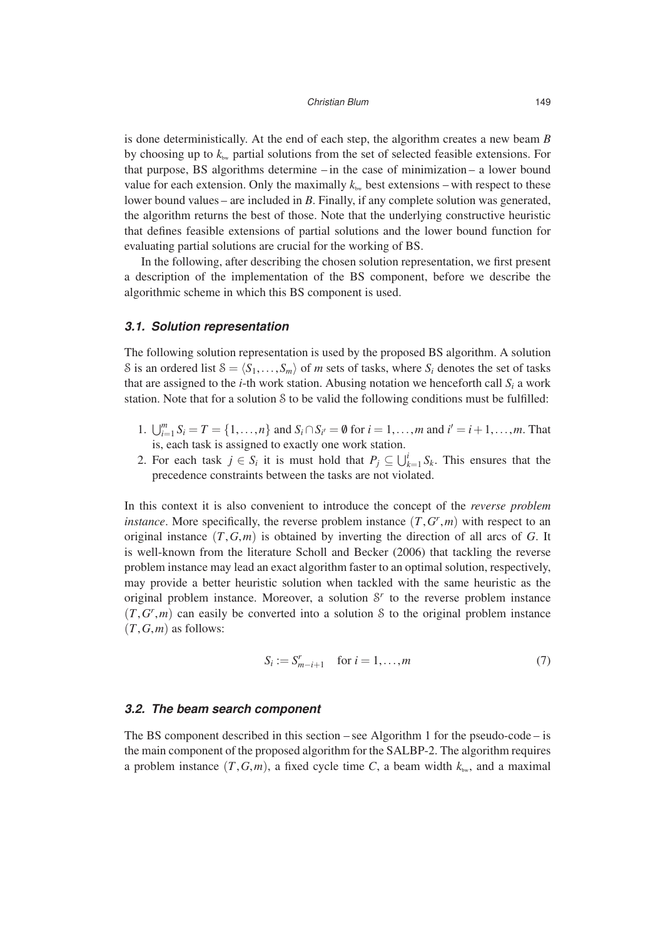is done deterministically. At the end of each step, the algorithm creates a new beam *B* by choosing up to  $k_{\text{bw}}$  partial solutions from the set of selected feasible extensions. For that purpose, BS algorithms determine – in the case of minimization – a lower bound value for each extension. Only the maximally  $k_{\text{bw}}$  best extensions – with respect to these lower bound values – are included in *B*. Finally, if any complete solution was generated, the algorithm returns the best of those. Note that the underlying constructive heuristic that defines feasible extensions of partial solutions and the lower bound function for evaluating partial solutions are crucial for the working of BS.

In the following, after describing the chosen solution representation, we first present a description of the implementation of the BS component, before we describe the algorithmic scheme in which this BS component is used.

#### **3.1. Solution representation**

The following solution representation is used by the proposed BS algorithm. A solution S is an ordered list  $S = \langle S_1, \ldots, S_m \rangle$  of *m* sets of tasks, where  $S_i$  denotes the set of tasks that are assigned to the *i*-th work station. Abusing notation we henceforth call  $S_i$  a work station. Note that for a solution S to be valid the following conditions must be fulfilled:

- 1.  $\bigcup_{i=1}^{m} S_i = T = \{1, ..., n\}$  and  $S_i \cap S_{i'} = \emptyset$  for  $i = 1, ..., m$  and  $i' = i + 1, ..., m$ . That is, each task is assigned to exactly one work station.
- 2. For each task  $j \in S_i$  it is must hold that  $P_j \subseteq \bigcup_{k=1}^i S_k$ . This ensures that the precedence constraints between the tasks are not violated.

In this context it is also convenient to introduce the concept of the *reverse problem instance*. More specifically, the reverse problem instance  $(T, G^r, m)$  with respect to an original instance (*T*,*G*,*m*) is obtained by inverting the direction of all arcs of *G*. It is well-known from the literature Scholl and Becker (2006) that tackling the reverse problem instance may lead an exact algorithm faster to an optimal solution, respectively, may provide a better heuristic solution when tackled with the same heuristic as the original problem instance. Moreover, a solution  $S<sup>r</sup>$  to the reverse problem instance  $(T, G^r, m)$  can easily be converted into a solution S to the original problem instance  $(T, G, m)$  as follows:

$$
S_i := S_{m-i+1}^r \quad \text{for } i = 1, \dots, m \tag{7}
$$

#### **3.2. The beam search component**

The BS component described in this section – see Algorithm 1 for the pseudo-code – is the main component of the proposed algorithm for the SALBP-2. The algorithm requires a problem instance  $(T, G, m)$ , a fixed cycle time *C*, a beam width  $k_{\text{sw}}$ , and a maximal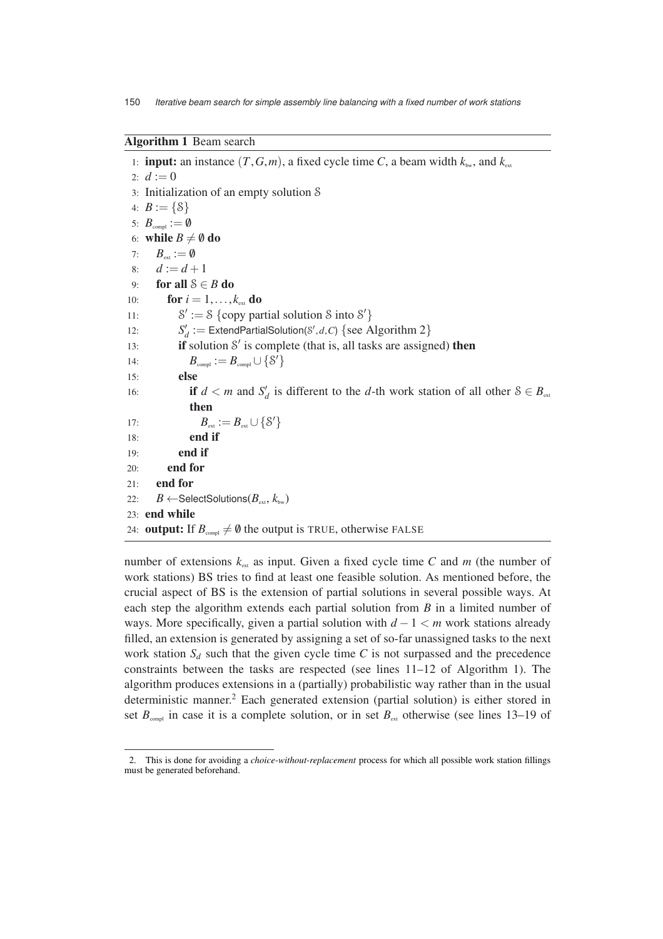#### **Algorithm 1** Beam search

1: **input:** an instance  $(T, G, m)$ , a fixed cycle time C, a beam width  $k_{\text{bw}}$ , and  $k_{\text{ext}}$ 2:  $d := 0$ 3: Initialization of an empty solution S 4:  $B := \{S\}$ 5:  $B_{\text{compl}} := \emptyset$ 6: **while**  $B \neq \emptyset$  **do** 7:  $B_{\text{ext}} := \emptyset$ 8:  $d := d + 1$ 9: **for all** S ∈ *B* **do** 10: **for**  $i = 1, ..., k_{ext}$  **do**  $11:$  $\prime := S \left\{ \text{copy partial solution } S \text{ into } S' \right\}$ 12:  $S'_d := \text{ExtendParialSolution}(S', d, C) \{ \text{see Algorithm 2} \}$ 13: **if** solution S ′ is complete (that is, all tasks are assigned) **then** 14:  $B_{\text{compl}} := B_{\text{compl}} \cup \{S'\}$ 15: **else** 16: **if**  $d < m$  and  $S'_d$  is different to the *d*-th work station of all other  $S \in B_{\text{ext}}$ **then** 17:  $B_{ext} := B_{ext} \cup \{S'\}$ 18: **end if** 19: **end if** 20: **end for** 21: **end for** 22:  $B \leftarrow$ SelectSolutions( $B_{\text{ext}}, k_{\text{bw}}$ ) 23: **end while** 24: **output:** If  $B_{\text{compl}} \neq \emptyset$  the output is TRUE, otherwise FALSE

number of extensions  $k_{\text{ext}}$  as input. Given a fixed cycle time  $C$  and  $m$  (the number of work stations) BS tries to find at least one feasible solution. As mentioned before, the crucial aspect of BS is the extension of partial solutions in several possible ways. At each step the algorithm extends each partial solution from *B* in a limited number of ways. More specifically, given a partial solution with *d* − 1 < *m* work stations already filled, an extension is generated by assigning a set of so-far unassigned tasks to the next work station  $S_d$  such that the given cycle time C is not surpassed and the precedence constraints between the tasks are respected (see lines 11–12 of Algorithm 1). The algorithm produces extensions in a (partially) probabilistic way rather than in the usual deterministic manner.<sup>2</sup> Each generated extension (partial solution) is either stored in set  $B_{\text{compl}}$  in case it is a complete solution, or in set  $B_{\text{ext}}$  otherwise (see lines 13–19 of

<sup>2.</sup> This is done for avoiding a *choice-without-replacement* process for which all possible work station fillings must be generated beforehand.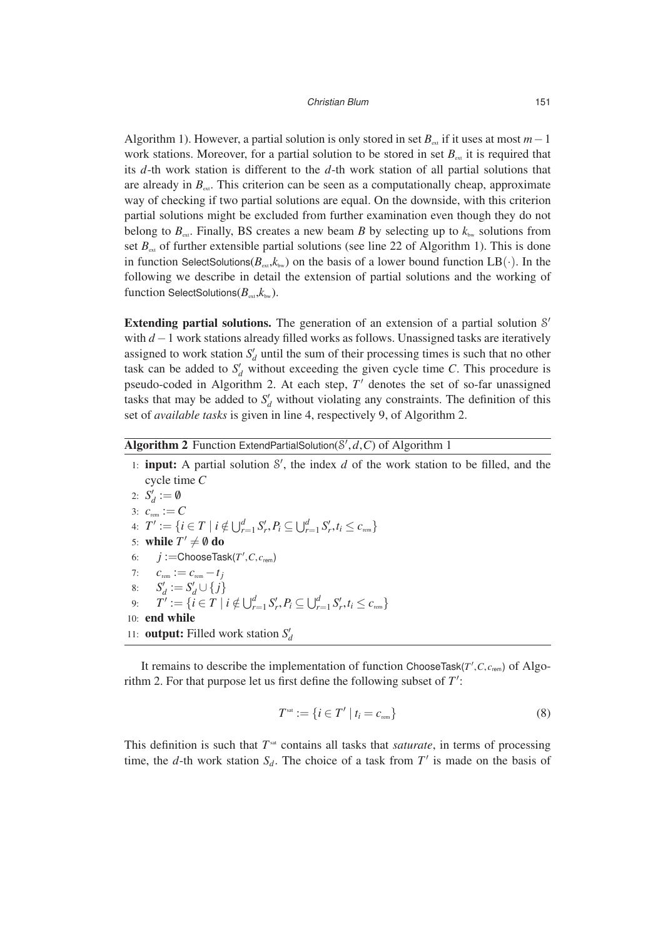Algorithm 1). However, a partial solution is only stored in set  $B_{ext}$  if it uses at most  $m-1$ work stations. Moreover, for a partial solution to be stored in set  $B_{\text{av}}$  it is required that its *d*-th work station is different to the *d*-th work station of all partial solutions that are already in  $B<sub>ext</sub>$ . This criterion can be seen as a computationally cheap, approximate way of checking if two partial solutions are equal. On the downside, with this criterion partial solutions might be excluded from further examination even though they do not belong to  $B_{\text{ext}}$ . Finally, BS creates a new beam *B* by selecting up to  $k_{\text{bw}}$  solutions from set  $B_{\text{ext}}$  of further extensible partial solutions (see line 22 of Algorithm 1). This is done in function SelectSolutions( $B_{ext}$ , $k_{bw}$ ) on the basis of a lower bound function LB(·). In the following we describe in detail the extension of partial solutions and the working of function SelectSolutions( $B_{ext}$ , $k_{bw}$ ).

**Extending partial solutions.** The generation of an extension of a partial solution S' with *d* −1 work stations already filled works as follows. Unassigned tasks are iteratively assigned to work station  $S_d'$  until the sum of their processing times is such that no other task can be added to  $S_d$  without exceeding the given cycle time *C*. This procedure is pseudo-coded in Algorithm 2. At each step, *T* ′ denotes the set of so-far unassigned tasks that may be added to  $S_d'$  without violating any constraints. The definition of this set of *available tasks* is given in line 4, respectively 9, of Algorithm 2.

## **Algorithm 2** Function ExtendPartialSolution(S ′ ,*d*,*C*) of Algorithm 1

1: **input:** A partial solution S ′ , the index *d* of the work station to be filled, and the cycle time *C* 2:  $S_d' := \emptyset$ 3:  $c_{\text{rem}} := C$ 4:  $T' := \{ i \in T \mid i \notin \bigcup_{r=1}^d S'_r, P_i \subseteq \bigcup_{r=1}^d S'_r, t_i \le c_{\text{rem}} \}$ 5: **while**  $T' \neq \emptyset$  do 6:  $j := \text{ChooseTask}(T', C, c_{\text{rem}})$ 7:  $c_{\text{rem}} := c_{\text{rem}} - t_j$ 8:  $S'_d := S'_d \cup \{j\}$ *d* 9:  $T' := \{ i \in T \mid i \notin \bigcup_{r=1}^d S'_r, P_i \subseteq \bigcup_{r=1}^d S'_r, t_i \le c_{\text{rem}} \}$ 10: **end while** 11: **output:** Filled work station  $S_d$ 

It remains to describe the implementation of function ChooseTask(*T* ′ ,*C*, *c*rem) of Algorithm 2. For that purpose let us first define the following subset of *T* ′ :

$$
T^{\text{sat}} := \{ i \in T' \mid t_i = c_{\text{rem}} \}
$$
\n
$$
(8)
$$

This definition is such that  $T^{\text{sat}}$  contains all tasks that *saturate*, in terms of processing time, the *d*-th work station  $S_d$ . The choice of a task from  $T'$  is made on the basis of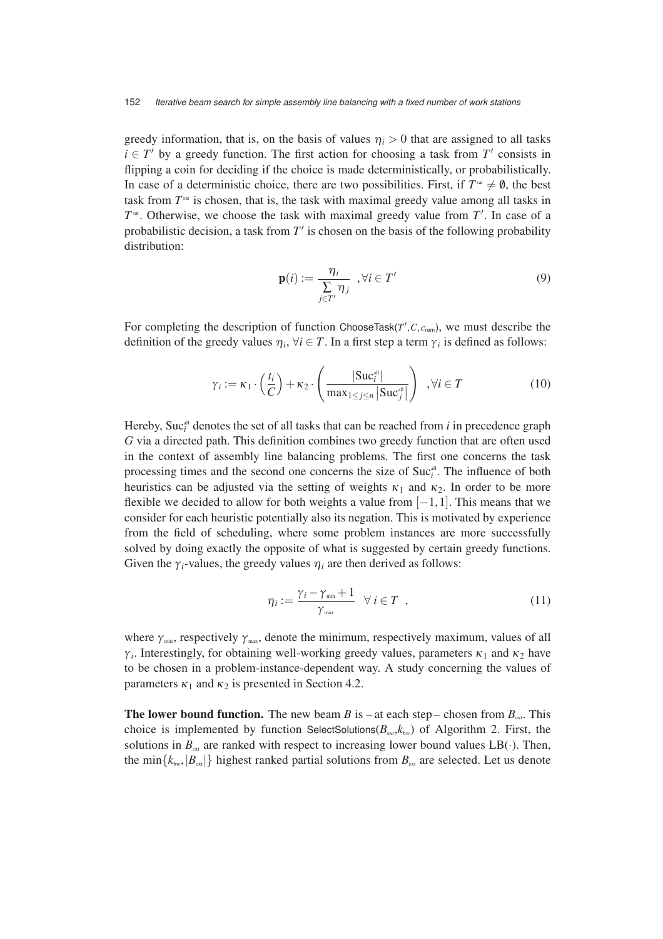greedy information, that is, on the basis of values  $\eta$ <sup>*i*</sup> > 0 that are assigned to all tasks  $i \in T'$  by a greedy function. The first action for choosing a task from  $T'$  consists in flipping a coin for deciding if the choice is made deterministically, or probabilistically. In case of a deterministic choice, there are two possibilities. First, if  $T^{sat} \neq \emptyset$ , the best task from  $T^{\text{sat}}$  is chosen, that is, the task with maximal greedy value among all tasks in  $T<sup>sat</sup>$ . Otherwise, we choose the task with maximal greedy value from  $T'$ . In case of a probabilistic decision, a task from T' is chosen on the basis of the following probability distribution:

$$
\mathbf{p}(i) := \frac{\eta_i}{\sum_{j \in T'} \eta_j}, \forall i \in T'
$$
\n(9)

For completing the description of function ChooseTask( $T', C, c_{\text{rem}}$ ), we must describe the definition of the greedy values  $\eta_i$ ,  $\forall i \in T$ . In a first step a term  $\gamma_i$  is defined as follows:

$$
\gamma_i := \kappa_1 \cdot \left(\frac{t_i}{C}\right) + \kappa_2 \cdot \left(\frac{|\text{Suc}_{i}^{\text{all}}|}{\max_{1 \le j \le n} |\text{Suc}_{j}^{\text{all}}|}\right) , \forall i \in T
$$
\n(10)

Hereby,  $\text{Suc}_{i}^{\text{all}}$  denotes the set of all tasks that can be reached from *i* in precedence graph *G* via a directed path. This definition combines two greedy function that are often used in the context of assembly line balancing problems. The first one concerns the task processing times and the second one concerns the size of  $\text{Suc}_{i}^{\text{all}}$ . The influence of both heuristics can be adjusted via the setting of weights  $\kappa_1$  and  $\kappa_2$ . In order to be more flexible we decided to allow for both weights a value from  $[-1, 1]$ . This means that we consider for each heuristic potentially also its negation. This is motivated by experience from the field of scheduling, where some problem instances are more successfully solved by doing exactly the opposite of what is suggested by certain greedy functions. Given the  $\gamma_i$ -values, the greedy values  $\eta_i$  are then derived as follows:

$$
\eta_i := \frac{\gamma_i - \gamma_{\min} + 1}{\gamma_{\max}} \quad \forall \ i \in T \quad , \tag{11}
$$

where  $\gamma_{\text{min}}$ , respectively  $\gamma_{\text{max}}$ , denote the minimum, respectively maximum, values of all *γ*<sup>*i*</sup>. Interestingly, for obtaining well-working greedy values, parameters  $\kappa_1$  and  $\kappa_2$  have to be chosen in a problem-instance-dependent way. A study concerning the values of parameters  $\kappa_1$  and  $\kappa_2$  is presented in Section 4.2.

**The lower bound function.** The new beam *B* is – at each step – chosen from  $B_{\text{ext}}$ . This choice is implemented by function SelectSolutions( $B_{ext}$ , $k_{bw}$ ) of Algorithm 2. First, the solutions in  $B_{ext}$  are ranked with respect to increasing lower bound values  $LB(\cdot)$ . Then, the min $\{k_{\text{bw}},|B_{\text{ext}}|\}$  highest ranked partial solutions from  $B_{\text{ext}}$  are selected. Let us denote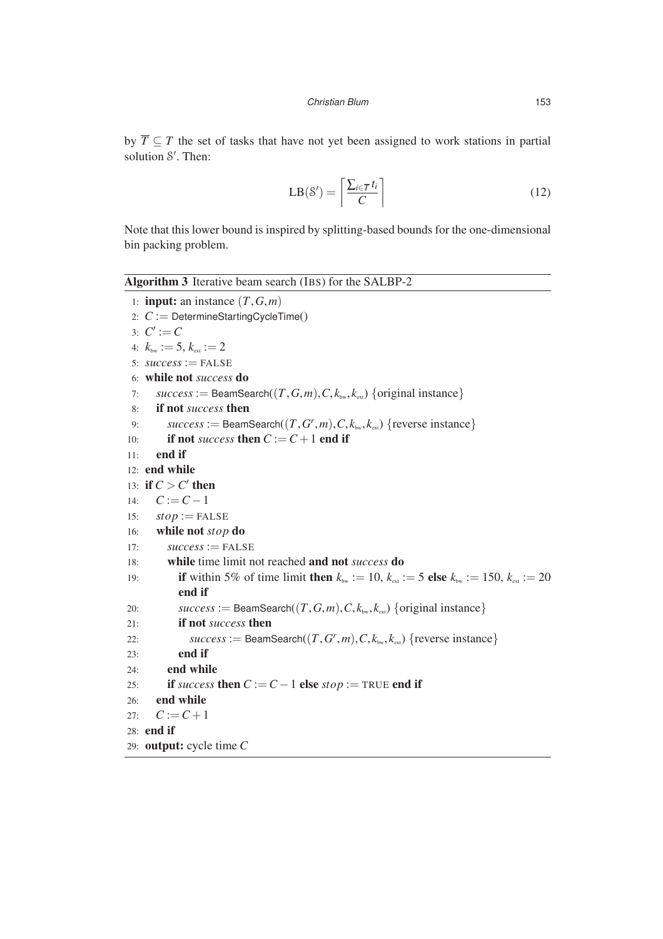by  $\overline{T} \subseteq T$  the set of tasks that have not yet been assigned to work stations in partial solution S'. Then:

$$
LB(S') = \left\lceil \frac{\sum_{i \in \overline{T}} t_i}{C} \right\rceil \tag{12}
$$

Note that this lower bound is inspired by splitting-based bounds for the one-dimensional bin packing problem.

|     | <b>Algorithm 3</b> Iterative beam search (IBS) for the SALBP-2                                                                            |
|-----|-------------------------------------------------------------------------------------------------------------------------------------------|
|     | 1: <b>input:</b> an instance $(T, G, m)$                                                                                                  |
|     | 2: $C :=$ DetermineStartingCycleTime()                                                                                                    |
|     | 3: $C' := C$                                                                                                                              |
|     | 4: $k_{\text{bw}} := 5, k_{\text{ext}} := 2$                                                                                              |
|     | 5: $success := FALSE$                                                                                                                     |
|     | 6: while not success do                                                                                                                   |
| 7:  | $success := \text{BeamSearch}((T, G, m), C, k_{\text{bw}}, k_{\text{ew}})$ {original instance}                                            |
| 8:  | if not <i>success</i> then                                                                                                                |
| 9:  | $success := \text{BeamSearch}((T, G^r, m), C, k_{\text{bw}}, k_{\text{ext}})$ {reverse instance}                                          |
| 10: | if not success then $C := C + 1$ end if                                                                                                   |
| 11: | end if                                                                                                                                    |
|     | 12: end while                                                                                                                             |
|     | 13: if $C > C'$ then                                                                                                                      |
| 14: | $C:=C-1$                                                                                                                                  |
| 15: | $stop := FALSE$                                                                                                                           |
| 16: | while not stop do                                                                                                                         |
| 17: | $success := FALSE$                                                                                                                        |
| 18: | while time limit not reached and not <i>success</i> do                                                                                    |
| 19: | <b>if</b> within 5% of time limit then $k_{\text{bw}} := 10$ , $k_{\text{ext}} := 5$ else $k_{\text{bw}} := 150$ , $k_{\text{ext}} := 20$ |
|     | end if                                                                                                                                    |
| 20: | $success := \text{BeamSearch}((T, G, m), C, k_{\text{bw}}, k_{\text{ext}})$ {original instance}                                           |
| 21: | if not <i>success</i> then                                                                                                                |
| 22: | $success := \text{BeamSearch}((T, G^r, m), C, k_{\text{bw}}, k_{\text{ext}})$ {reverse instance}                                          |
| 23: | end if                                                                                                                                    |
| 24: | end while                                                                                                                                 |
| 25: | if success then $C := C - 1$ else stop := TRUE end if                                                                                     |
| 26: | end while                                                                                                                                 |
| 27: | $C:=C+1$                                                                                                                                  |
|     | 28: end if                                                                                                                                |
|     | 29: <b>output:</b> cycle time $C$                                                                                                         |
|     |                                                                                                                                           |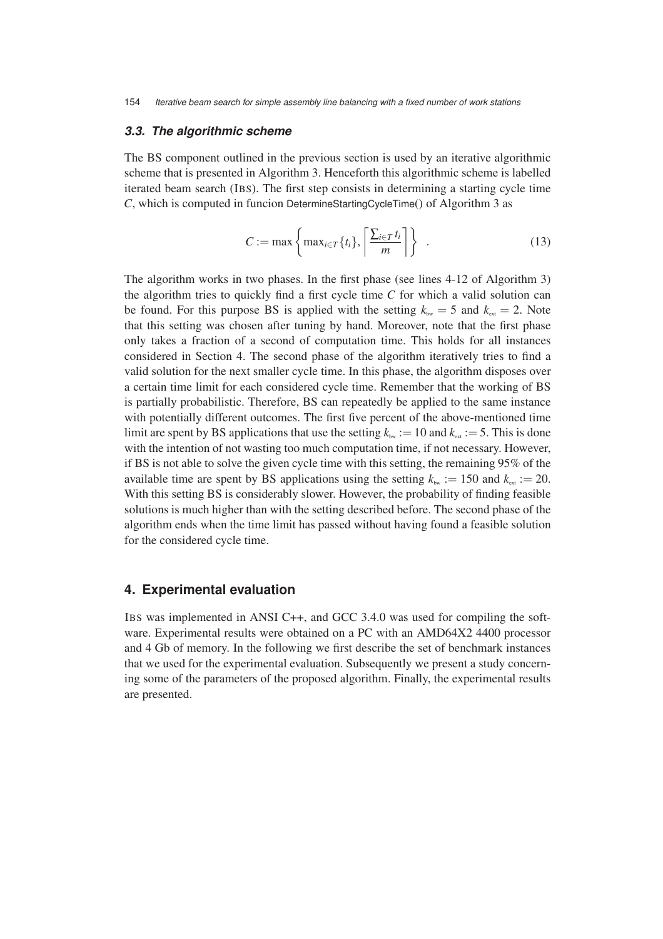#### **3.3. The algorithmic scheme**

The BS component outlined in the previous section is used by an iterative algorithmic scheme that is presented in Algorithm 3. Henceforth this algorithmic scheme is labelled iterated beam search (IBS). The first step consists in determining a starting cycle time *C*, which is computed in funcion DetermineStartingCycleTime() of Algorithm 3 as

$$
C := \max\left\{\max_{i \in T} \{t_i\}, \left\lceil \frac{\sum_{i \in T} t_i}{m} \right\rceil \right\} \quad . \tag{13}
$$

The algorithm works in two phases. In the first phase (see lines 4-12 of Algorithm 3) the algorithm tries to quickly find a first cycle time *C* for which a valid solution can be found. For this purpose BS is applied with the setting  $k_{bw} = 5$  and  $k_{ew} = 2$ . Note that this setting was chosen after tuning by hand. Moreover, note that the first phase only takes a fraction of a second of computation time. This holds for all instances considered in Section 4. The second phase of the algorithm iteratively tries to find a valid solution for the next smaller cycle time. In this phase, the algorithm disposes over a certain time limit for each considered cycle time. Remember that the working of BS is partially probabilistic. Therefore, BS can repeatedly be applied to the same instance with potentially different outcomes. The first five percent of the above-mentioned time limit are spent by BS applications that use the setting  $k_{bw} := 10$  and  $k_{ew} := 5$ . This is done with the intention of not wasting too much computation time, if not necessary. However, if BS is not able to solve the given cycle time with this setting, the remaining 95% of the available time are spent by BS applications using the setting  $k_{bw} := 150$  and  $k_{ew} := 20$ . With this setting BS is considerably slower. However, the probability of finding feasible solutions is much higher than with the setting described before. The second phase of the algorithm ends when the time limit has passed without having found a feasible solution for the considered cycle time.

#### **4. Experimental evaluation**

IBS was implemented in ANSI C++, and GCC 3.4.0 was used for compiling the software. Experimental results were obtained on a PC with an AMD64X2 4400 processor and 4 Gb of memory. In the following we first describe the set of benchmark instances that we used for the experimental evaluation. Subsequently we present a study concerning some of the parameters of the proposed algorithm. Finally, the experimental results are presented.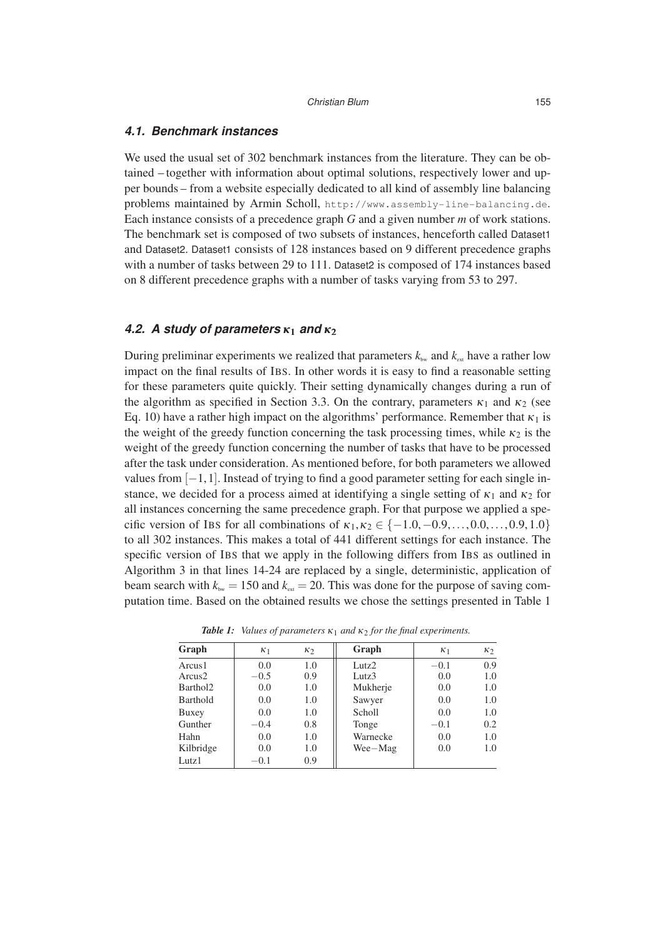#### **4.1. Benchmark instances**

We used the usual set of 302 benchmark instances from the literature. They can be obtained – together with information about optimal solutions, respectively lower and upper bounds – from a website especially dedicated to all kind of assembly line balancing problems maintained by Armin Scholl, http://www.assembly-line-balancing.de. Each instance consists of a precedence graph *G* and a given number *m* of work stations. The benchmark set is composed of two subsets of instances, henceforth called Dataset1 and Dataset2. Dataset1 consists of 128 instances based on 9 different precedence graphs with a number of tasks between 29 to 111. Dataset 2 is composed of 174 instances based on 8 different precedence graphs with a number of tasks varying from 53 to 297.

### **4.2. A study of parameters** *κ*<sup>1</sup> **and** *κ*<sup>2</sup>

During preliminar experiments we realized that parameters  $k_{\text{bw}}$  and  $k_{\text{ext}}$  have a rather low impact on the final results of IBS. In other words it is easy to find a reasonable setting for these parameters quite quickly. Their setting dynamically changes during a run of the algorithm as specified in Section 3.3. On the contrary, parameters  $\kappa_1$  and  $\kappa_2$  (see Eq. 10) have a rather high impact on the algorithms' performance. Remember that  $\kappa_1$  is the weight of the greedy function concerning the task processing times, while  $\kappa_2$  is the weight of the greedy function concerning the number of tasks that have to be processed after the task under consideration. As mentioned before, for both parameters we allowed values from  $[-1, 1]$ . Instead of trying to find a good parameter setting for each single instance, we decided for a process aimed at identifying a single setting of  $\kappa_1$  and  $\kappa_2$  for all instances concerning the same precedence graph. For that purpose we applied a specific version of IBS for all combinations of  $\kappa_1, \kappa_2 \in \{-1.0, -0.9, \ldots, 0.0, \ldots, 0.9, 1.0\}$ to all 302 instances. This makes a total of 441 different settings for each instance. The specific version of IBS that we apply in the following differs from IBS as outlined in Algorithm 3 in that lines 14-24 are replaced by a single, deterministic, application of beam search with  $k_{\text{bw}} = 150$  and  $k_{\text{ext}} = 20$ . This was done for the purpose of saving computation time. Based on the obtained results we chose the settings presented in Table 1

| Graph                | K <sub>1</sub> | $\kappa_2$ | Graph             | K <sub>1</sub> | K <sub>2</sub> |
|----------------------|----------------|------------|-------------------|----------------|----------------|
| Arcus1               | 0.0            | 1.0        | Lutz $2$          | $-0.1$         | 0.9            |
| Arcus2               | $-0.5$         | 0.9        | Lutz <sub>3</sub> | 0.0            | 1.0            |
| Barthol <sub>2</sub> | 0.0            | 1.0        | Mukherje          | 0.0            | 1.0            |
| Barthold             | 0.0            | 1.0        | Sawyer            | 0.0            | 1.0            |
| Buxey                | 0.0            | 1.0        | Scholl            | 0.0            | 1.0            |
| Gunther              | $-0.4$         | 0.8        | Tonge             | $-0.1$         | 0.2            |
| Hahn                 | 0.0            | 1.0        | Warnecke          | 0.0            | 1.0            |
| Kilbridge            | 0.0            | 1.0        | Wee-Mag           | 0.0            | 1.0            |
| Lutz <sub>1</sub>    | $-0.1$         | 0.9        |                   |                |                |

*Table 1: Values of parameters*  $\kappa_1$  *and*  $\kappa_2$  *for the final experiments.*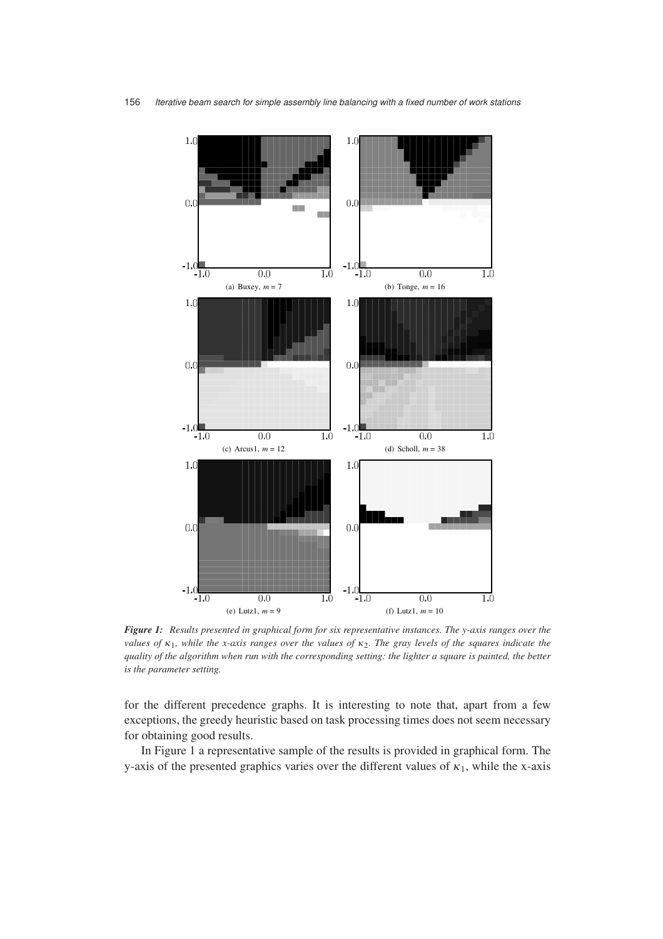

*Figure 1: Results presented in graphical form for six representative instances. The y-axis ranges over the values of κ*1*, while the x-axis ranges over the values of κ*2*. The gray levels of the squares indicate the quality of the algorithm when run with the corresponding setting: the lighter a square is painted, the better is the parameter setting.*

for the different precedence graphs. It is interesting to note that, apart from a few exceptions, the greedy heuristic based on task processing times does not seem necessary for obtaining good results.

In Figure 1 a representative sample of the results is provided in graphical form. The y-axis of the presented graphics varies over the different values of  $\kappa_1$ , while the x-axis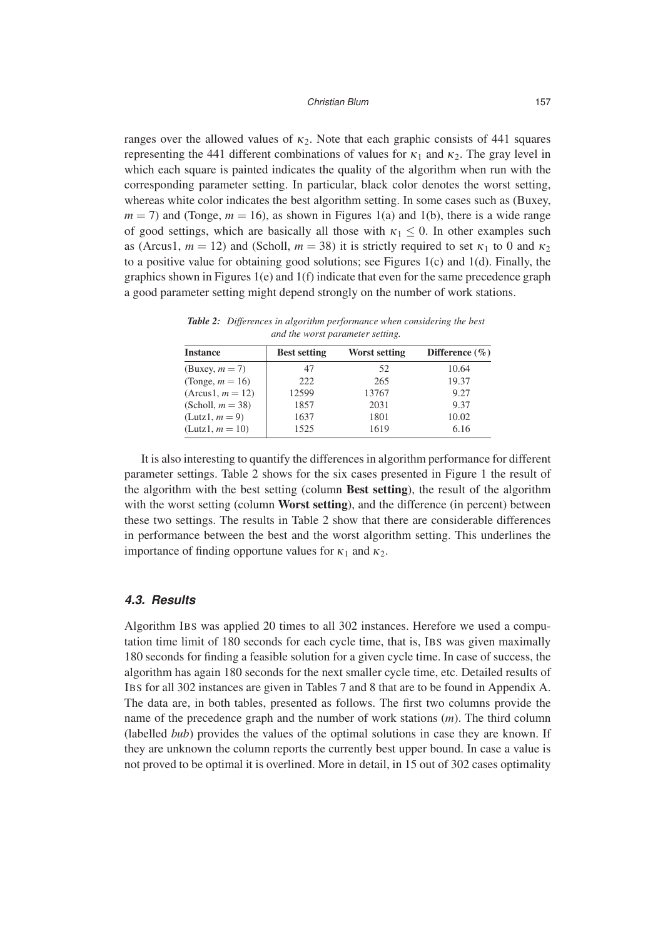#### Christian Blum 157

ranges over the allowed values of  $\kappa_2$ . Note that each graphic consists of 441 squares representing the 441 different combinations of values for  $\kappa_1$  and  $\kappa_2$ . The gray level in which each square is painted indicates the quality of the algorithm when run with the corresponding parameter setting. In particular, black color denotes the worst setting, whereas white color indicates the best algorithm setting. In some cases such as (Buxey,  $m = 7$ ) and (Tonge,  $m = 16$ ), as shown in Figures 1(a) and 1(b), there is a wide range of good settings, which are basically all those with  $\kappa_1 \leq 0$ . In other examples such as (Arcus1,  $m = 12$ ) and (Scholl,  $m = 38$ ) it is strictly required to set  $\kappa_1$  to 0 and  $\kappa_2$ to a positive value for obtaining good solutions; see Figures 1(c) and 1(d). Finally, the graphics shown in Figures 1(e) and  $1(f)$  indicate that even for the same precedence graph a good parameter setting might depend strongly on the number of work stations.

*Table 2: Differences in algorithm performance when considering the best and the worst parameter setting.*

| <b>Instance</b>     | <b>Best setting</b> | Worst setting | Difference $(\% )$ |
|---------------------|---------------------|---------------|--------------------|
| $(Buxey, m = 7)$    | 47                  | .52           | 10.64              |
| (Tonge, $m = 16$ )  | 222                 | 265           | 19.37              |
| $(Arcus1, m = 12)$  | 12599               | 13767         | 9.27               |
| (Scholl, $m = 38$ ) | 1857                | 2031          | 9.37               |
| $(Lutz1, m = 9)$    | 1637                | 1801          | 10.02              |
| $(Lutz1, m = 10)$   | 1525                | 1619          | 6.16               |

It is also interesting to quantify the differences in algorithm performance for different parameter settings. Table 2 shows for the six cases presented in Figure 1 the result of the algorithm with the best setting (column **Best setting**), the result of the algorithm with the worst setting (column **Worst setting**), and the difference (in percent) between these two settings. The results in Table 2 show that there are considerable differences in performance between the best and the worst algorithm setting. This underlines the importance of finding opportune values for  $\kappa_1$  and  $\kappa_2$ .

#### **4.3. Results**

Algorithm IBS was applied 20 times to all 302 instances. Herefore we used a computation time limit of 180 seconds for each cycle time, that is, IBS was given maximally 180 seconds for finding a feasible solution for a given cycle time. In case of success, the algorithm has again 180 seconds for the next smaller cycle time, etc. Detailed results of IBS for all 302 instances are given in Tables 7 and 8 that are to be found in Appendix A. The data are, in both tables, presented as follows. The first two columns provide the name of the precedence graph and the number of work stations (*m*). The third column (labelled *bub*) provides the values of the optimal solutions in case they are known. If they are unknown the column reports the currently best upper bound. In case a value is not proved to be optimal it is overlined. More in detail, in 15 out of 302 cases optimality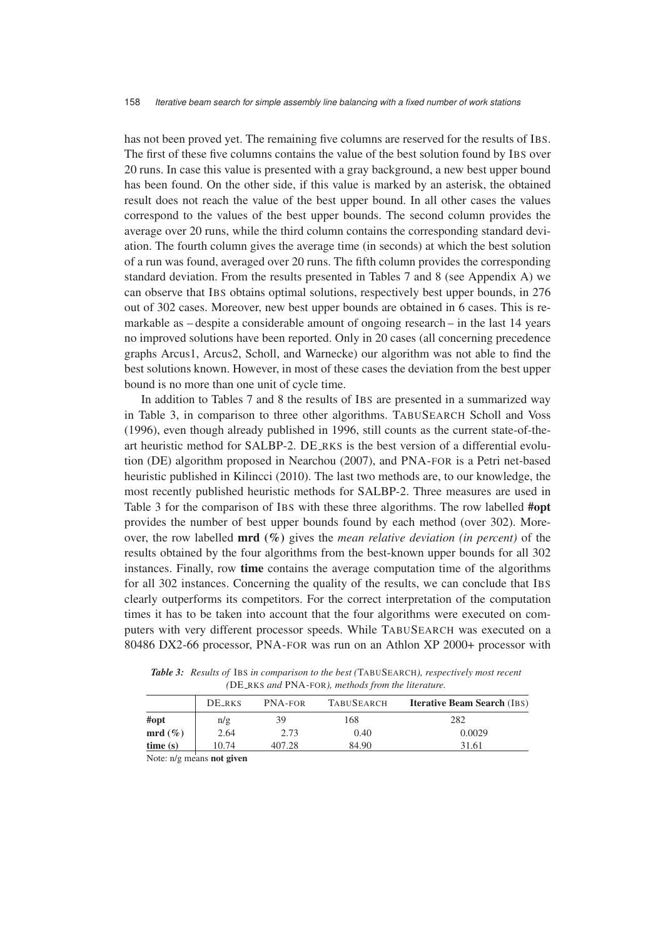has not been proved yet. The remaining five columns are reserved for the results of IBS. The first of these five columns contains the value of the best solution found by IBS over 20 runs. In case this value is presented with a gray background, a new best upper bound has been found. On the other side, if this value is marked by an asterisk, the obtained result does not reach the value of the best upper bound. In all other cases the values correspond to the values of the best upper bounds. The second column provides the average over 20 runs, while the third column contains the corresponding standard deviation. The fourth column gives the average time (in seconds) at which the best solution of a run was found, averaged over 20 runs. The fifth column provides the corresponding standard deviation. From the results presented in Tables 7 and 8 (see Appendix A) we can observe that IBS obtains optimal solutions, respectively best upper bounds, in 276 out of 302 cases. Moreover, new best upper bounds are obtained in 6 cases. This is remarkable as – despite a considerable amount of ongoing research – in the last 14 years no improved solutions have been reported. Only in 20 cases (all concerning precedence graphs Arcus1, Arcus2, Scholl, and Warnecke) our algorithm was not able to find the best solutions known. However, in most of these cases the deviation from the best upper bound is no more than one unit of cycle time.

In addition to Tables 7 and 8 the results of IBS are presented in a summarized way in Table 3, in comparison to three other algorithms. TABUSEARCH Scholl and Voss (1996), even though already published in 1996, still counts as the current state-of-theart heuristic method for SALBP-2. DE RKS is the best version of a differential evolution (DE) algorithm proposed in Nearchou (2007), and PNA-FOR is a Petri net-based heuristic published in Kilincci (2010). The last two methods are, to our knowledge, the most recently published heuristic methods for SALBP-2. Three measures are used in Table 3 for the comparison of IBS with these three algorithms. The row labelled **#opt** provides the number of best upper bounds found by each method (over 302). Moreover, the row labelled **mrd (%)** gives the *mean relative deviation (in percent)* of the results obtained by the four algorithms from the best-known upper bounds for all 302 instances. Finally, row **time** contains the average computation time of the algorithms for all 302 instances. Concerning the quality of the results, we can conclude that IBS clearly outperforms its competitors. For the correct interpretation of the computation times it has to be taken into account that the four algorithms were executed on computers with very different processor speeds. While TABUSEARCH was executed on a 80486 DX2-66 processor, PNA-FOR was run on an Athlon XP 2000+ processor with

|           | DE RKS | <b>PNA-FOR</b> | <b>TABUSEARCH</b> | <b>Iterative Beam Search (IBS)</b> |
|-----------|--------|----------------|-------------------|------------------------------------|
| #opt      | n/g    | 39             | 168               | 282                                |
| $mrd(\%)$ | 2.64   | 2.73           | 0.40              | 0.0029                             |
| time(s)   | 10.74  | 407.28         | 84.90             | 31.61                              |

*Table 3: Results of* IBS *in comparison to the best (*TABUSEARCH*), respectively most recent (*DE RKS *and* PNA-FOR*), methods from the literature.*

Note: n/g means **not given**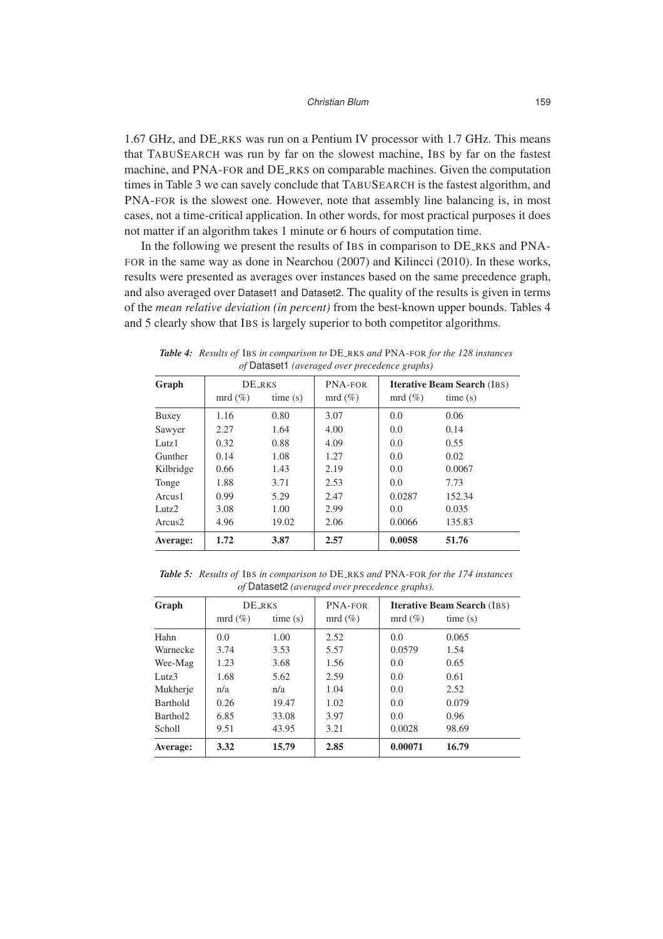1.67 GHz, and DE RKS was run on a Pentium IV processor with 1.7 GHz. This means that TABUSEARCH was run by far on the slowest machine, IBS by far on the fastest machine, and PNA-FOR and DE RKS on comparable machines. Given the computation times in Table 3 we can savely conclude that TABUSEARCH is the fastest algorithm, and PNA-FOR is the slowest one. However, note that assembly line balancing is, in most cases, not a time-critical application. In other words, for most practical purposes it does not matter if an algorithm takes 1 minute or 6 hours of computation time.

In the following we present the results of IBS in comparison to DE RKS and PNA-FOR in the same way as done in Nearchou (2007) and Kilincci (2010). In these works, results were presented as averages over instances based on the same precedence graph, and also averaged over Dataset1 and Dataset2. The quality of the results is given in terms of the *mean relative deviation (in percent)* from the best-known upper bounds. Tables 4 and 5 clearly show that IBS is largely superior to both competitor algorithms.

|                                               |  |  | <b>Table 4:</b> Results of IBS in comparison to DE_RKS and PNA-FOR for the 128 instances |  |  |  |  |  |  |  |  |  |
|-----------------------------------------------|--|--|------------------------------------------------------------------------------------------|--|--|--|--|--|--|--|--|--|
| of Dataset1 (averaged over precedence graphs) |  |  |                                                                                          |  |  |  |  |  |  |  |  |  |
|                                               |  |  |                                                                                          |  |  |  |  |  |  |  |  |  |

| Graph              | <b>DE_RKS</b> |         | PNA-FOR   | <b>Iterative Beam Search (IBS)</b> |         |  |  |  |
|--------------------|---------------|---------|-----------|------------------------------------|---------|--|--|--|
|                    | $mrd(\%)$     | time(s) | $mrd(\%)$ | $mrd(\%)$                          | time(s) |  |  |  |
| Buxey              | 1.16          | 0.80    | 3.07      | 0.0                                | 0.06    |  |  |  |
| Sawyer             | 2.27          | 1.64    | 4.00      | 0.0                                | 0.14    |  |  |  |
| Lutz <sub>1</sub>  | 0.32          | 0.88    | 4.09      | 0.0                                | 0.55    |  |  |  |
| Gunther            | 0.14          | 1.08    | 1.27      | 0.0                                | 0.02    |  |  |  |
| Kilbridge          | 0.66          | 1.43    | 2.19      | 0.0                                | 0.0067  |  |  |  |
| Tonge              | 1.88          | 3.71    | 2.53      | 0.0                                | 7.73    |  |  |  |
| Arcus1             | 0.99          | 5.29    | 2.47      | 0.0287                             | 152.34  |  |  |  |
| Lutz <sub>2</sub>  | 3.08          | 1.00    | 2.99      | 0.0                                | 0.035   |  |  |  |
| Arcus <sub>2</sub> | 4.96          | 19.02   | 2.06      | 0.0066                             | 135.83  |  |  |  |
| Average:           | 1.72          | 3.87    | 2.57      | 0.0058                             | 51.76   |  |  |  |

*Table 5: Results of* IBS *in comparison to* DE RKS *and* PNA-FOR *for the 174 instances of* Dataset2 *(averaged over precedence graphs).*

| Graph                | <b>DE_RKS</b> |         | PNA-FOR   | <b>Iterative Beam Search (IBS)</b> |         |  |  |  |
|----------------------|---------------|---------|-----------|------------------------------------|---------|--|--|--|
|                      | $mrd(\%)$     | time(s) | $mrd(\%)$ | $mrd(\%)$                          | time(s) |  |  |  |
| Hahn                 | 0.0           | 1.00    | 2.52      | 0.0                                | 0.065   |  |  |  |
| Warnecke             | 3.74          | 3.53    | 5.57      | 0.0579                             | 1.54    |  |  |  |
| Wee-Mag              | 1.23          | 3.68    | 1.56      | 0.0                                | 0.65    |  |  |  |
| Lutz <sub>3</sub>    | 1.68          | 5.62    | 2.59      | 0.0                                | 0.61    |  |  |  |
| Mukherje             | n/a           | n/a     | 1.04      | 0.0                                | 2.52    |  |  |  |
| Barthold             | 0.26          | 19.47   | 1.02      | 0.0                                | 0.079   |  |  |  |
| Barthol <sub>2</sub> | 6.85          | 33.08   | 3.97      | 0.0                                | 0.96    |  |  |  |
| Scholl               | 9.51          | 43.95   | 3.21      | 0.0028                             | 98.69   |  |  |  |
| Average:             | 3.32          | 15.79   | 2.85      | 0.00071                            | 16.79   |  |  |  |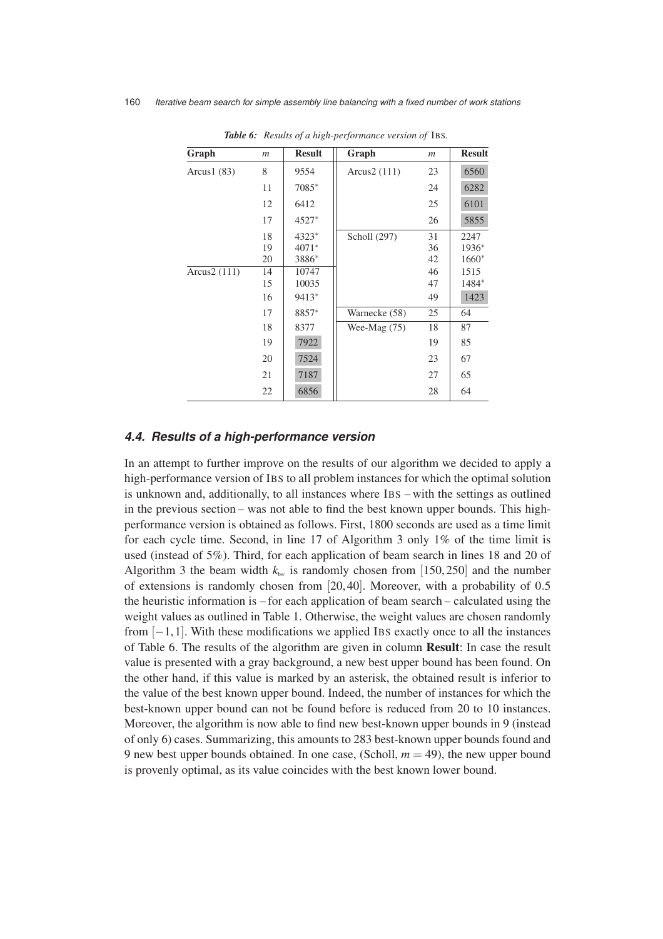| Graph          | $\mathfrak{m}$ | <b>Result</b> | Graph          | $\mathfrak{m}$ | <b>Result</b> |
|----------------|----------------|---------------|----------------|----------------|---------------|
| Arcus $1(83)$  | 8              | 9554          | Arcus2 (111)   | 23             | 6560          |
|                | 11             | 7085*         |                | 24             | 6282          |
|                | 12             | 6412          |                | 25             | 6101          |
|                | 17             | 4527*         |                | 26             | 5855          |
|                | 18             | 4323*         | Scholl (297)   | 31             | 2247          |
|                | 19             | $4071*$       |                | 36             | $1936*$       |
|                | 20             | 3886*         |                | 42             | $1660*$       |
| Arcus $2(111)$ | 14             | 10747         |                | 46             | 1515          |
|                | 15             | 10035         |                | 47             | 1484*         |
|                | 16             | 9413*         |                | 49             | 1423          |
|                | 17             | 8857*         | Warnecke (58)  | 25             | 64            |
|                | 18             | 8377          | Wee-Mag $(75)$ | 18             | 87            |
|                | 19             | 7922          |                | 19             | 85            |
|                | 20             | 7524          |                | 23             | 67            |
|                | 21             | 7187          |                | 27             | 65            |
|                | 22             | 6856          |                | 28             | 64            |

*Table 6: Results of a high-performance version of* IBS*.*

#### **4.4. Results of a high-performance version**

In an attempt to further improve on the results of our algorithm we decided to apply a high-performance version of IBS to all problem instances for which the optimal solution is unknown and, additionally, to all instances where IBS – with the settings as outlined in the previous section – was not able to find the best known upper bounds. This highperformance version is obtained as follows. First, 1800 seconds are used as a time limit for each cycle time. Second, in line 17 of Algorithm 3 only 1% of the time limit is used (instead of 5%). Third, for each application of beam search in lines 18 and 20 of Algorithm 3 the beam width  $k_{\text{bw}}$  is randomly chosen from [150, 250] and the number of extensions is randomly chosen from [20, 40]. Moreover, with a probability of 0.5 the heuristic information is – for each application of beam search – calculated using the weight values as outlined in Table 1. Otherwise, the weight values are chosen randomly from [−1, 1]. With these modifications we applied IBS exactly once to all the instances of Table 6. The results of the algorithm are given in column **Result**: In case the result value is presented with a gray background, a new best upper bound has been found. On the other hand, if this value is marked by an asterisk, the obtained result is inferior to the value of the best known upper bound. Indeed, the number of instances for which the best-known upper bound can not be found before is reduced from 20 to 10 instances. Moreover, the algorithm is now able to find new best-known upper bounds in 9 (instead of only 6) cases. Summarizing, this amounts to 283 best-known upper bounds found and 9 new best upper bounds obtained. In one case, (Scholl,  $m = 49$ ), the new upper bound is provenly optimal, as its value coincides with the best known lower bound.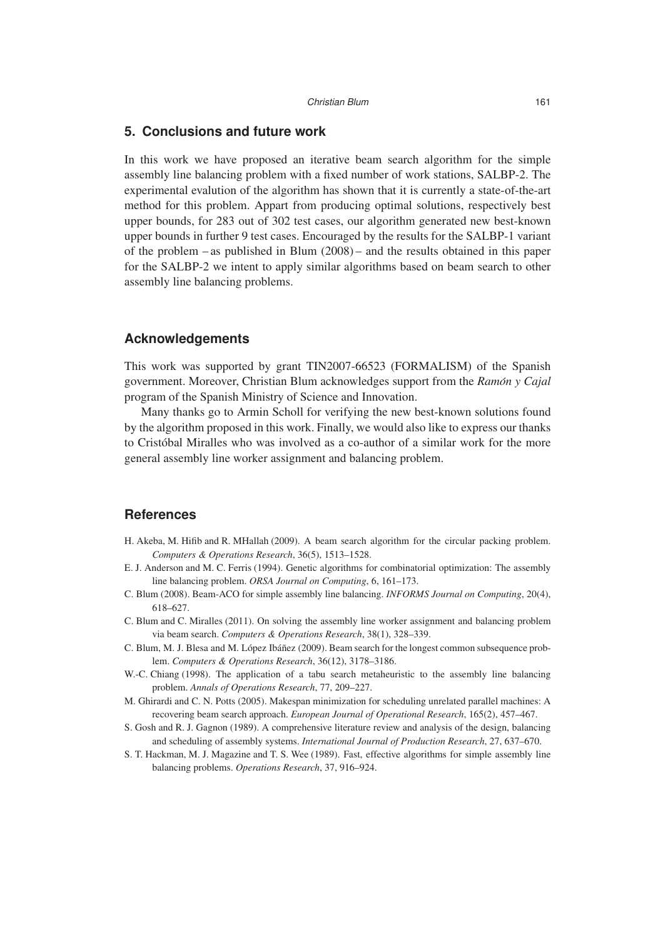## **5. Conclusions and future work**

In this work we have proposed an iterative beam search algorithm for the simple assembly line balancing problem with a fixed number of work stations, SALBP-2. The experimental evalution of the algorithm has shown that it is currently a state-of-the-art method for this problem. Appart from producing optimal solutions, respectively best upper bounds, for 283 out of 302 test cases, our algorithm generated new best-known upper bounds in further 9 test cases. Encouraged by the results for the SALBP-1 variant of the problem – as published in Blum (2008) – and the results obtained in this paper for the SALBP-2 we intent to apply similar algorithms based on beam search to other assembly line balancing problems.

#### **Acknowledgements**

This work was supported by grant TIN2007-66523 (FORMALISM) of the Spanish government. Moreover, Christian Blum acknowledges support from the *Ramon y Cajal ´* program of the Spanish Ministry of Science and Innovation.

Many thanks go to Armin Scholl for verifying the new best-known solutions found by the algorithm proposed in this work. Finally, we would also like to express our thanks to Cristóbal Miralles who was involved as a co-author of a similar work for the more general assembly line worker assignment and balancing problem.

#### **References**

- H. Akeba, M. Hifib and R. MHallah (2009). A beam search algorithm for the circular packing problem. *Computers & Operations Research*, 36(5), 1513–1528.
- E. J. Anderson and M. C. Ferris (1994). Genetic algorithms for combinatorial optimization: The assembly line balancing problem. *ORSA Journal on Computing*, 6, 161–173.
- C. Blum (2008). Beam-ACO for simple assembly line balancing. *INFORMS Journal on Computing*, 20(4), 618–627.
- C. Blum and C. Miralles (2011). On solving the assembly line worker assignment and balancing problem via beam search. *Computers & Operations Research*, 38(1), 328–339.
- C. Blum, M. J. Blesa and M. López Ibáñez (2009). Beam search for the longest common subsequence problem. *Computers & Operations Research*, 36(12), 3178–3186.
- W.-C. Chiang (1998). The application of a tabu search metaheuristic to the assembly line balancing problem. *Annals of Operations Research*, 77, 209–227.
- M. Ghirardi and C. N. Potts (2005). Makespan minimization for scheduling unrelated parallel machines: A recovering beam search approach. *European Journal of Operational Research*, 165(2), 457–467.
- S. Gosh and R. J. Gagnon (1989). A comprehensive literature review and analysis of the design, balancing and scheduling of assembly systems. *International Journal of Production Research*, 27, 637–670.
- S. T. Hackman, M. J. Magazine and T. S. Wee (1989). Fast, effective algorithms for simple assembly line balancing problems. *Operations Research*, 37, 916–924.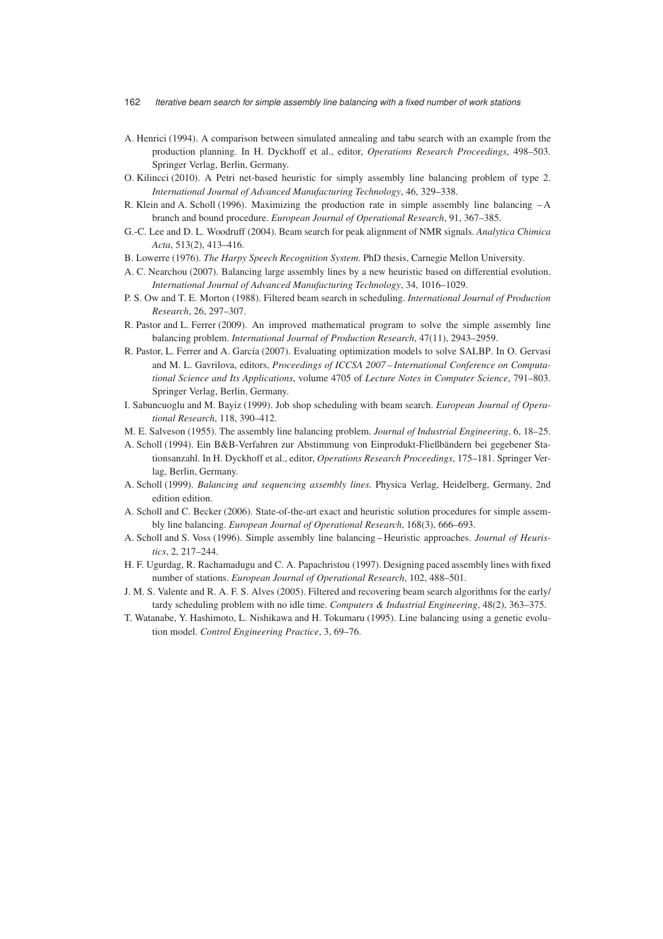- A. Henrici (1994). A comparison between simulated annealing and tabu search with an example from the production planning. In H. Dyckhoff et al., editor, *Operations Research Proceedings*, 498–503. Springer Verlag, Berlin, Germany.
- O. Kilincci (2010). A Petri net-based heuristic for simply assembly line balancing problem of type 2. *International Journal of Advanced Manufacturing Technology*, 46, 329–338.
- R. Klein and A. Scholl (1996). Maximizing the production rate in simple assembly line balancing A branch and bound procedure. *European Journal of Operational Research*, 91, 367–385.
- G.-C. Lee and D. L. Woodruff (2004). Beam search for peak alignment of NMR signals. *Analytica Chimica Acta*, 513(2), 413–416.
- B. Lowerre (1976). *The Harpy Speech Recognition System*. PhD thesis, Carnegie Mellon University.
- A. C. Nearchou (2007). Balancing large assembly lines by a new heuristic based on differential evolution. *International Journal of Advanced Manufacturing Technology*, 34, 1016–1029.
- P. S. Ow and T. E. Morton (1988). Filtered beam search in scheduling. *International Journal of Production Research*, 26, 297–307.
- R. Pastor and L. Ferrer (2009). An improved mathematical program to solve the simple assembly line balancing problem. *International Journal of Production Research*, 47(11), 2943–2959.
- R. Pastor, L. Ferrer and A. García (2007). Evaluating optimization models to solve SALBP. In O. Gervasi and M. L. Gavrilova, editors, *Proceedings of ICCSA 2007 – International Conference on Computational Science and Its Applications*, volume 4705 of *Lecture Notes in Computer Science*, 791–803. Springer Verlag, Berlin, Germany.
- I. Sabuncuoglu and M. Bayiz (1999). Job shop scheduling with beam search. *European Journal of Operational Research*, 118, 390–412.
- M. E. Salveson (1955). The assembly line balancing problem. *Journal of Industrial Engineering*, 6, 18–25.
- A. Scholl (1994). Ein B&B-Verfahren zur Abstimmung von Einprodukt-Fließbandern bei gegebener Sta- ¨ tionsanzahl. In H. Dyckhoff et al., editor, *Operations Research Proceedings*, 175–181. Springer Verlag, Berlin, Germany.
- A. Scholl (1999). *Balancing and sequencing assembly lines*. Physica Verlag, Heidelberg, Germany, 2nd edition edition.
- A. Scholl and C. Becker (2006). State-of-the-art exact and heuristic solution procedures for simple assembly line balancing. *European Journal of Operational Research*, 168(3), 666–693.
- A. Scholl and S. Voss (1996). Simple assembly line balancing Heuristic approaches. *Journal of Heuristics*, 2, 217–244.
- H. F. Ugurdag, R. Rachamadugu and C. A. Papachristou (1997). Designing paced assembly lines with fixed number of stations. *European Journal of Operational Research*, 102, 488–501.
- J. M. S. Valente and R. A. F. S. Alves (2005). Filtered and recovering beam search algorithms for the early/ tardy scheduling problem with no idle time. *Computers & Industrial Engineering*, 48(2), 363–375.
- T. Watanabe, Y. Hashimoto, L. Nishikawa and H. Tokumaru (1995). Line balancing using a genetic evolution model. *Control Engineering Practice*, 3, 69–76.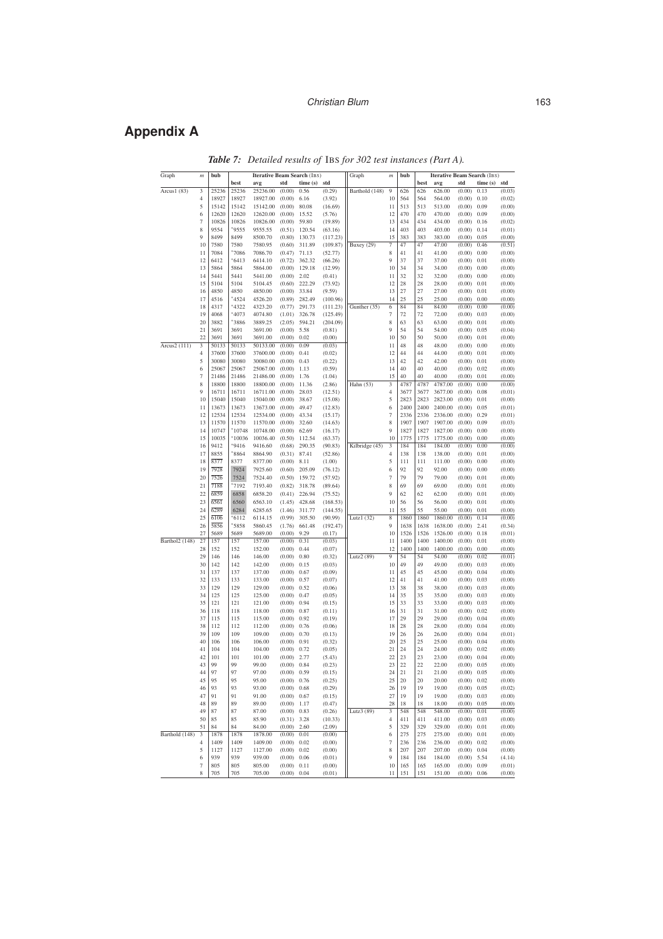#### Christian Blum 163

## **Appendix A**

| Graph          | m  | bub   |          | <b>Iterative Beam Search (IBS)</b> |                                |                 |                  | Graph          | $\mathfrak{m}$   | bub  |      | <b>Iterative Beam Search (IBS)</b> |               |         |                  |
|----------------|----|-------|----------|------------------------------------|--------------------------------|-----------------|------------------|----------------|------------------|------|------|------------------------------------|---------------|---------|------------------|
|                |    |       | best     | avg                                | std                            | time (s)        | std              |                |                  |      | best | avg                                | std           | time(s) | std              |
| Arcus1 (83)    | 3  | 25236 | 25236    | 25236.00                           | (0.00)                         | 0.56            | (0.29)           | Barthold (148) | 9                | 626  | 626  | 626.00                             | (0.00)        | 0.13    | (0.03)           |
|                | 4  | 18927 | 18927    | 18927.00                           | (0.00)                         | 6.16            | (3.92)           |                | 10               | 564  | 564  | 564.00                             | (0.00)        | 0.10    | (0.02)           |
|                | 5  | 15142 | 15142    | 15142.00                           | (0.00)                         | 80.08           | (16.69)          |                | 11               | 513  | 513  | 513.00                             | (0.00)        | 0.09    | (0.00)           |
|                | 6  | 12620 | 12620    | 12620.00                           | (0.00)                         | 15.52           | (5.76)           |                | 12               | 470  | 470  | 470.00                             | (0.00)        | 0.09    | (0.00)           |
|                | 7  | 10826 | 10826    | 10826.00                           | (0.00)                         | 59.80           | (19.89)          |                | 13               | 434  | 434  | 434.00                             | (0.00)        | 0.16    | (0.02)           |
|                | 8  | 9554  | *9555    | 9555.55                            | (0.51)                         | 120.54          | (63.16)          |                | 14               | 403  | 403  | 403.00                             | (0.00)        | 0.14    | (0.01)           |
|                | 9  | 8499  | 8499     | 8500.70                            | (0.80)                         | 130.73          | (117.23)         |                | 15               | 383  | 383  | 383.00                             | (0.00)        | 0.05    | (0.00)           |
|                | 10 | 7580  | 7580     | 7580.95                            | (0.60)                         | 311.89          | (109.87)         | Buxey (29)     | 7                | 47   | 47   | 47.00                              | (0.00)        | 0.46    | (0.51)           |
|                | 11 | 7084  | $*7086$  | 7086.70                            | $(0.47)$ 71.13                 |                 | (52.77)          |                | 8                | 41   | 41   | 41.00                              | (0.00)        | 0.00    | (0.00)           |
|                | 12 | 6412  | $*6413$  | 6414.10                            |                                | $(0.72)$ 362.32 | (66.26)          |                | 9                | 37   | 37   | 37.00                              | (0.00)        | 0.01    | (0.00)           |
|                | 13 | 5864  | 5864     | 5864.00                            | (0.00)                         | 129.18          | (12.99)          |                | 10               | 34   | 34   | 34.00                              | (0.00)        | 0.00    | (0.00)           |
|                | 14 | 5441  | 5441     | 5441.00                            | $(0.00)$ 2.02                  |                 | (0.41)           |                | 11               | 32   | 32   | 32.00                              | (0.00)        | 0.00    | (0.00)           |
|                | 15 | 5104  | 5104     | 5104.45                            |                                | $(0.60)$ 222.29 | (73.92)          |                | 12               | 28   | 28   | 28.00                              | (0.00)        | 0.01    | (0.00)           |
|                | 16 | 4850  | 4850     | 4850.00                            | (0.00)                         | 33.84           | (9.59)           |                | 13               | 27   | 27   | 27.00                              | (0.00)        | 0.01    | (0.00)           |
|                | 17 | 4516  | $*4524$  | 4526.20                            | (0.89)                         | 282.49          | (100.96)         |                | 14               | 25   | 25   | 25.00                              | (0.00)        | 0.00    | (0.00)           |
|                | 18 | 4317  | *4322    | 4323.20                            | (0.77)                         | 291.73          | (111.23)         | Gunther (35)   | 6                | 84   | 84   | 84.00                              | (0.00)        | 0.00    | (0.00)           |
|                | 19 | 4068  | $*4073$  | 4074.80                            | (1.01)                         | 326.78          | (125.49)         |                | $\tau$           | 72   | 72   | 72.00                              | (0.00)        | 0.03    | (0.00)           |
|                | 20 | 3882  | *3886    | 3889.25                            |                                | $(2.05)$ 594.21 | (204.09)         |                | 8                | 63   | 63   | 63.00                              | (0.00)        | 0.01    | (0.00)           |
|                | 21 | 3691  | 3691     | 3691.00                            | (0.00)                         | 5.58            | (0.81)           |                | 9                | 54   | 54   | 54.00                              | (0.00)        | 0.05    | (0.04)           |
|                | 22 | 3691  | 3691     | 3691.00                            | (0.00)                         | 0.02            | (0.00)           |                | 10               | 50   | 50   | 50.00                              | (0.00)        | 0.01    | (0.00)           |
| Arcus2 (111)   | 3  | 50133 | 50133    | 50133.00                           | (0.00)                         | 0.09            | (0.03)           |                | 11               | 48   | 48   | 48.00                              | (0.00)        | 0.00    | (0.00)           |
|                | 4  | 37600 | 37600    | 37600.00                           | (0.00)                         | 0.41            | (0.02)           |                | 12               | 44   | 44   | 44.00                              | (0.00)        | 0.01    | (0.00)           |
|                | 5  | 30080 | 30080    | 30080.00                           | (0.00)                         | 0.43            | (0.22)           |                | 13               | 42   | 42   | 42.00                              | (0.00)        | 0.01    | (0.00)           |
|                | 6  | 25067 | 25067    | 25067.00                           | (0.00)                         | 1.13            | (0.59)           |                | 14               | 40   | 40   | 40.00                              | (0.00)        | 0.02    | (0.00)           |
|                | 7  | 21486 | 21486    | 21486.00                           | (0.00)                         | 1.76            | (1.04)           |                | 15               | 40   | 40   | 40.00                              | (0.00)        | 0.01    | (0.00)           |
|                | 8  | 18800 | 18800    | 18800.00                           | (0.00)                         | 11.36           | (2.86)           | Hahn (53)      | 3                | 4787 | 4787 | 4787.00                            | (0.00)        | 0.00    | (0.00)           |
|                | 9  | 16711 | 16711    | 16711.00                           | (0.00)                         | 28.03           | (12.51)          |                | $\overline{4}$   | 3677 | 3677 | 3677.00                            | (0.00)        | 0.08    | (0.01)           |
|                | 10 | 15040 | 15040    | 15040.00                           | (0.00)                         | 38.67           | (15.08)          |                | 5                | 2823 | 2823 | 2823.00                            | (0.00)        | 0.01    | (0.00)           |
|                | 11 | 13673 | 13673    | 13673.00                           | (0.00)                         | 49.47           | (12.83)          |                | 6                | 2400 | 2400 | 2400.00                            | (0.00)        | 0.05    | (0.01)           |
|                | 12 | 12534 | 12534    | 12534.00                           | (0.00)                         | 43.34           | (15.17)          |                | $\boldsymbol{7}$ | 2336 | 2336 | 2336.00                            | (0.00)        | 0.29    | (0.01)           |
|                | 13 | 11570 | 11570    | 11570.00                           | (0.00)                         | 32.60           | (14.63)          |                | 8                | 1907 | 1907 | 1907.00                            | (0.00)        | 0.09    | (0.03)           |
|                | 14 | 10747 | $*10748$ | 10748.00                           | (0.00)                         | 62.69           | (16.17)          |                | 9                | 1827 | 1827 | 1827.00                            | (0.00)        | 0.00    | (0.00)           |
|                | 15 | 10035 | $*10036$ | 10036.40                           | (0.50)                         | 112.54          | (63.37)          |                | 10               | 1775 | 1775 | 1775.00                            | (0.00)        | 0.00    | (0.00)           |
|                | 16 | 9412  | $*9416$  | 9416.60                            | (0.68)                         | 290.35          | (90.83)          | Kilbridge (45) | 3                | 184  | 184  | 184.00                             | (0.00)        | 0.00    | (0.00)           |
|                | 17 | 8855  | $*8864$  | 8864.90                            | (0.31)                         | 87.41           | (52.86)          |                | 4                | 138  | 138  | 138.00                             | (0.00)        | 0.01    | (0.00)           |
|                | 18 | 8377  | 8377     | 8377.00                            | (0.00)                         | 8.11            | (1.00)           |                | 5                | 111  | 111  | 111.00                             | (0.00)        | 0.00    | (0.00)           |
|                | 19 | 7928  | 7924     | 7925.60                            | (0.60)                         | 205.09          | (76.12)          |                | 6                | 92   | 92   | 92.00                              | (0.00)        | 0.00    | (0.00)           |
|                | 20 | 7526  | 7524     | 7524.40                            | (0.50)                         | 159.72          | (57.92)          |                | 7                | 79   | 79   | 79.00                              | (0.00)        | 0.01    | (0.00)           |
|                | 21 | 7188  | *7192    | 7193.40                            | (0.82)                         | 318.78          | (89.64)          |                | 8                | 69   | 69   | 69.00                              | (0.00)        | 0.01    | (0.00)           |
|                | 22 | 6859  | 6858     | 6858.20                            |                                | $(0.41)$ 226.94 | (75.52)          |                | 9                | 62   | 62   | 62.00                              | (0.00)        | 0.01    | (0.00)           |
|                | 23 | 6561  | 6560     | 6563.10                            |                                | $(1.45)$ 428.68 | (168.53)         |                | 10               | 56   | 56   | 56.00                              | (0.00)        | 0.01    | (0.00)           |
|                | 24 | 6289  | 6284     | 6285.65                            |                                | $(1.46)$ 311.77 | (144.55)         |                | 11               | 55   | 55   | 55.00                              | (0.00)        | 0.01    | (0.00)           |
|                | 25 | 6106  | *6112    | 6114.15                            | (0.99)                         | 305.50          | (90.99)          | Lutz $1(32)$   | 8                | 1860 | 1860 | 1860.00                            | (0.00)        | 0.14    | (0.00)           |
|                | 26 | 5856  | $*5858$  | 5860.45                            | (1.76)                         | 661.48          | (192.47)         |                | 9                | 1638 | 1638 | 1638.00                            | (0.00)        | 2.41    | (0.34)           |
|                | 27 | 5689  | 5689     | 5689.00                            | (0.00)                         | 9.29            | (0.17)           |                | 10               | 1526 | 1526 | 1526.00                            | (0.00)        | 0.18    | (0.01)           |
| Barthol2 (148) | 27 | 157   | 157      | 157.00                             | (0.00)                         | 0.31            | (0.03)           |                | 11               | 1400 | 1400 | 1400.00                            | (0.00)        | 0.01    | (0.00)           |
|                | 28 | 152   | 152      | 152.00                             | (0.00)                         | 0.44            | (0.07)           |                | 12               | 1400 | 1400 | 1400.00                            | (0.00)        | 0.00    | (0.00)           |
|                | 29 | 146   | 146      | 146.00                             | $(0.00)$ 0.80                  |                 | (0.32)           | Lutz2 (89)     | 9                | 54   | 54   | 54.00                              | (0.00)        | 0.02    | (0.01)           |
|                | 30 | 142   | 142      | 142.00                             | (0.00)                         | 0.15            | (0.03)           |                | 10               | 49   | 49   | 49.00                              | (0.00)        | 0.03    | (0.00)           |
|                | 31 | 137   | 137      | 137.00                             | (0.00)                         | 0.67            | (0.09)           |                | 11               | 45   | 45   | 45.00                              | (0.00)        | 0.04    | (0.00)           |
|                | 32 | 133   | 133      | 133.00                             | (0.00)                         | 0.57            | (0.07)           |                | 12               | 41   | 41   | 41.00                              | (0.00)        | 0.03    | (0.00)           |
|                | 33 | 129   | 129      | 129.00                             | (0.00)                         | 0.52            | (0.06)           |                | 13               | 38   | 38   | 38.00                              | (0.00)        | 0.03    | (0.00)           |
|                | 34 | 125   | 125      | 125.00                             | (0.00)                         | 0.47            | (0.05)           |                | 14               | 35   | 35   | 35.00                              | (0.00)        | 0.03    | (0.00)           |
|                | 35 | 121   | 121      | 121.00                             | $(0.00)$ 0.94                  |                 | (0.15)           |                | 15               | 33   | 33   | 33.00                              | (0.00)        | 0.03    | (0.00)           |
|                | 36 | 118   | 118      | 118.00                             | (0.00)                         | 0.87            | (0.11)           |                | 16               | 31   | 31   | 31.00                              | (0.00)        | 0.02    | (0.00)           |
|                | 37 | 115   | 115      | 115.00                             | (0.00)                         | 0.92            | (0.19)           |                | 17               | 29   | 29   | 29.00                              | (0.00)        | 0.04    | (0.00)           |
|                | 38 | 112   | 112      | 112.00                             | (0.00)                         | 0.76            | (0.06)           |                | 18               | 28   | 28   | 28.00                              | (0.00)        | 0.04    | (0.00)           |
|                | 39 | 109   | 109      | 109.00                             | $(0.00)$ 0.70                  |                 | (0.13)           |                | 19               | 26   | 26   | 26.00                              | (0.00)        | 0.04    | (0.01)           |
|                | 40 | 106   | 106      | 106.00                             |                                |                 |                  |                | 20               | 25   | 25   | 25.00                              | (0.00)        | 0.04    |                  |
|                | 41 | 104   | 104      | 104.00                             | (0.00)<br>(0.00)               | 0.91<br>0.72    | (0.32)<br>(0.05) |                | 21               | 24   | 24   | 24.00                              | (0.00)        | 0.02    | (0.00)<br>(0.00) |
|                | 42 | 101   | 101      | 101.00                             |                                |                 | (5.43)           |                | 22               | 23   | 23   | 23.00                              |               | 0.04    |                  |
|                | 43 | 99    | 99       | 99.00                              | $(0.00)$ 2.77                  |                 |                  |                | 23               | 22   | 22   | 22.00                              | (0.00)        |         | (0.00)           |
|                |    | 97    | 97       |                                    | $(0.00)$ 0.84                  |                 | (0.23)           |                | 24               | 21   | 21   |                                    | $(0.00)$ 0.05 |         | (0.00)           |
|                | 44 |       |          | 97.00                              | $(0.00)$ 0.59<br>$(0.00)$ 0.76 |                 | (0.15)           |                |                  |      |      | 21.00                              | $(0.00)$ 0.05 |         | (0.00)           |
|                | 45 | 95    | 95       | 95.00                              |                                |                 | (0.25)           |                | 25               | 20   | 20   | 20.00                              | $(0.00)$ 0.02 |         | (0.00)           |
|                | 46 | 93    | 93       | 93.00                              | $(0.00)$ 0.68                  |                 | (0.29)           |                | 26               | 19   | 19   | 19.00                              | $(0.00)$ 0.05 |         | (0.02)           |
|                | 47 | 91    | 91       | 91.00                              | $(0.00)$ 0.67                  |                 | (0.15)           |                | 27               | 19   | 19   | 19.00                              | $(0.00)$ 0.03 |         | (0.00)           |
|                | 48 | 89    | 89       | 89.00                              | $(0.00)$ 1.17                  |                 | (0.47)           |                | 28               | 18   | 18   | 18.00                              | (0.00)        | 0.05    | (0.00)           |
|                | 49 | 87    | 87       | 87.00                              | $(0.00)$ 0.83                  |                 | (0.26)           | Lutz3 (89)     | 3                | 548  | 548  | 548.00                             | (0.00)        | 0.01    | (0.00)           |
|                | 50 | 85    | 85       | 85.90                              | $(0.31)$ 3.28                  |                 | (10.33)          |                | $\overline{4}$   | 411  | 411  | 411.00                             | (0.00)        | 0.03    | (0.00)           |
|                | 51 | 84    | 84       | 84.00                              | $(0.00)$ 2.60                  |                 | (2.09)           |                | 5                | 329  | 329  | 329.00                             | (0.00)        | 0.01    | (0.00)           |
| Barthold (148) | 3  | 1878  | 1878     | 1878.00                            | $(0.00)$ 0.01                  |                 | (0.00)           |                | 6                | 275  | 275  | 275.00                             | $(0.00)$ 0.01 |         | (0.00)           |
|                | 4  | 1409  | 1409     | 1409.00                            | $(0.00)$ 0.02                  |                 | (0.00)           |                | $\tau$           | 236  | 236  | 236.00                             | $(0.00)$ 0.02 |         | (0.00)           |
|                | 5  | 1127  | 1127     | 1127.00                            | $(0.00)$ 0.02                  |                 | (0.00)           |                | 8                | 207  | 207  | 207.00                             | $(0.00)$ 0.04 |         | (0.00)           |
|                | 6  | 939   | 939      | 939.00                             | $(0.00)$ 0.06                  |                 | (0.01)           |                | 9                | 184  | 184  | 184.00                             | $(0.00)$ 5.54 |         | (4.14)           |
|                | 7  | 805   | 805      | 805.00                             | $(0.00)$ 0.11                  |                 | (0.00)           |                | 10               | 165  | 165  | 165.00                             | $(0.00)$ 0.09 |         | (0.01)           |
|                | 8  | 705   | 705      | 705.00                             | $(0.00)$ 0.04                  |                 | (0.01)           |                | 11               | 151  | 151  | 151.00                             | $(0.00)$ 0.06 |         | (0.00)           |

*Table 7: Detailed results of* IBS *for 302 test instances (Part A).*